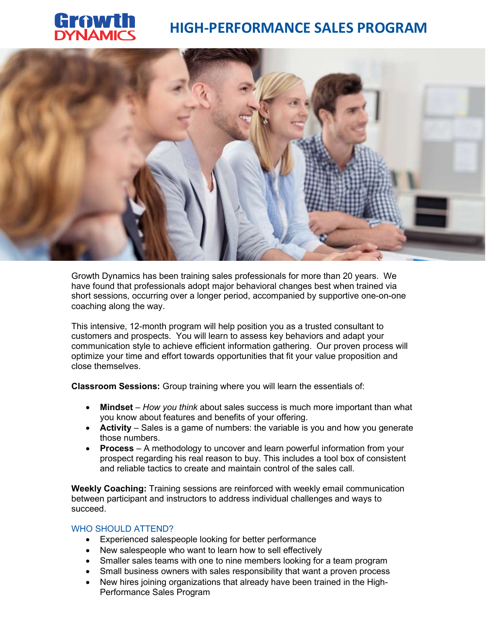

# HIGH-PERFORMANCE SALES PROGRAM



Growth Dynamics has been training sales professionals for more than 20 years. We have found that professionals adopt major behavioral changes best when trained via short sessions, occurring over a longer period, accompanied by supportive one-on-one coaching along the way.

This intensive, 12-month program will help position you as a trusted consultant to customers and prospects. You will learn to assess key behaviors and adapt your communication style to achieve efficient information gathering. Our proven process will optimize your time and effort towards opportunities that fit your value proposition and close themselves.

Classroom Sessions: Group training where you will learn the essentials of:

- Mindset How you think about sales success is much more important than what you know about features and benefits of your offering.
- **Activity** Sales is a game of numbers: the variable is you and how you generate those numbers.
- Process A methodology to uncover and learn powerful information from your prospect regarding his real reason to buy. This includes a tool box of consistent and reliable tactics to create and maintain control of the sales call.

Weekly Coaching: Training sessions are reinforced with weekly email communication between participant and instructors to address individual challenges and ways to succeed.

## WHO SHOULD ATTEND?

- Experienced salespeople looking for better performance
- New salespeople who want to learn how to sell effectively
- Smaller sales teams with one to nine members looking for a team program
- Small business owners with sales responsibility that want a proven process
- New hires joining organizations that already have been trained in the High-Performance Sales Program